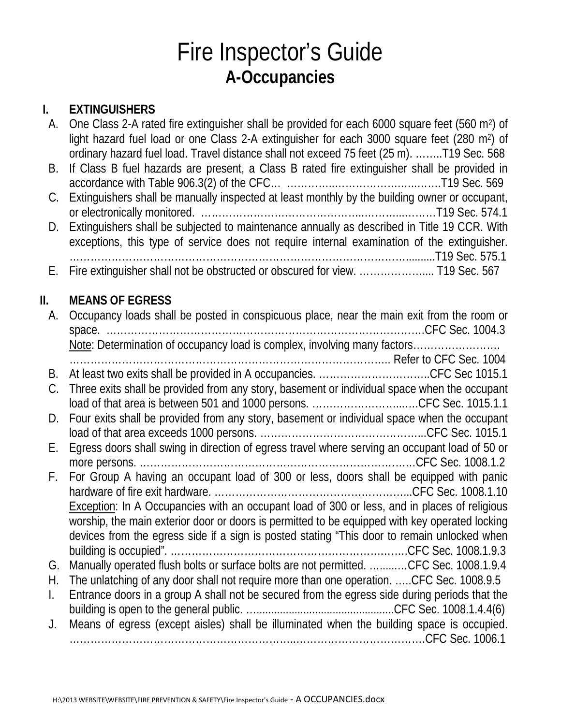## Fire Inspector's Guide **A-Occupancies**

#### **I. EXTINGUISHERS**

| А.           | One Class 2-A rated fire extinguisher shall be provided for each 6000 square feet (560 m <sup>2</sup> ) of<br>light hazard fuel load or one Class 2-A extinguisher for each 3000 square feet (280 m <sup>2</sup> ) of                                                                           |
|--------------|-------------------------------------------------------------------------------------------------------------------------------------------------------------------------------------------------------------------------------------------------------------------------------------------------|
| B.           | ordinary hazard fuel load. Travel distance shall not exceed 75 feet (25 m). T19 Sec. 568<br>If Class B fuel hazards are present, a Class B rated fire extinguisher shall be provided in                                                                                                         |
| C.           | Extinguishers shall be manually inspected at least monthly by the building owner or occupant,                                                                                                                                                                                                   |
| D.           | Extinguishers shall be subjected to maintenance annually as described in Title 19 CCR. With<br>exceptions, this type of service does not require internal examination of the extinguisher.                                                                                                      |
| Е.           |                                                                                                                                                                                                                                                                                                 |
| II.          | <b>MEANS OF EGRESS</b>                                                                                                                                                                                                                                                                          |
| A.           | Occupancy loads shall be posted in conspicuous place, near the main exit from the room or                                                                                                                                                                                                       |
|              | Note: Determination of occupancy load is complex, involving many factors                                                                                                                                                                                                                        |
| В.           | At least two exits shall be provided in A occupancies. CFC Sec 1015.1                                                                                                                                                                                                                           |
| C.           | Three exits shall be provided from any story, basement or individual space when the occupant<br>load of that area is between 501 and 1000 persons. CFC Sec. 1015.1.1                                                                                                                            |
| D.           | Four exits shall be provided from any story, basement or individual space when the occupant                                                                                                                                                                                                     |
| Ε.           | Egress doors shall swing in direction of egress travel where serving an occupant load of 50 or                                                                                                                                                                                                  |
| F.           | For Group A having an occupant load of 300 or less, doors shall be equipped with panic<br><b>Exception:</b> In A Occupancies with an occupant load of 300 or less, and in places of religious<br>worship, the main exterior door or doors is permitted to be equipped with key operated locking |
|              | devices from the egress side if a sign is posted stating "This door to remain unlocked when                                                                                                                                                                                                     |
| G.           | Manually operated flush bolts or surface bolts are not permitted. CFC Sec. 1008.1.9.4                                                                                                                                                                                                           |
| Η.           | The unlatching of any door shall not require more than one operation. CFC Sec. 1008.9.5                                                                                                                                                                                                         |
| $\mathsf{L}$ | Entrance doors in a group A shall not be secured from the egress side during periods that the                                                                                                                                                                                                   |
| J.           | Means of egress (except aisles) shall be illuminated when the building space is occupied.                                                                                                                                                                                                       |
|              |                                                                                                                                                                                                                                                                                                 |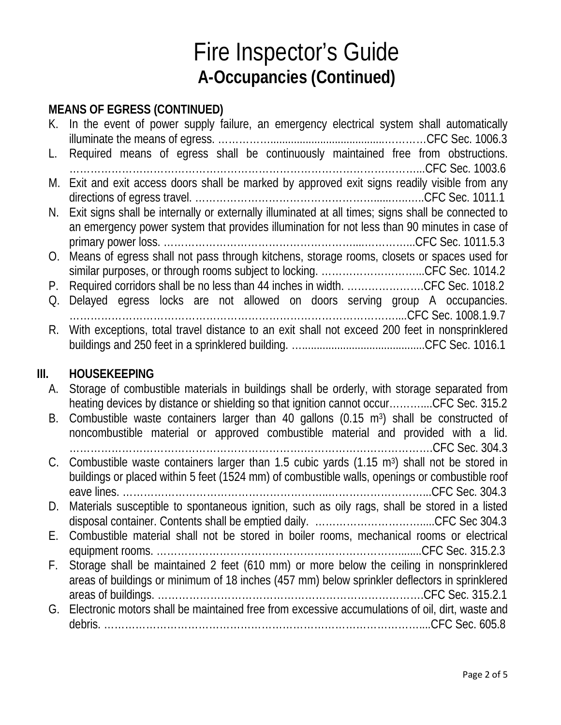# Fire Inspector's Guide **A-Occupancies (Continued)**

### **MEANS OF EGRESS (CONTINUED)**

|    | K. In the event of power supply failure, an emergency electrical system shall automatically           |
|----|-------------------------------------------------------------------------------------------------------|
| L. | Required means of egress shall be continuously maintained free from obstructions.                     |
|    |                                                                                                       |
|    | M. Exit and exit access doors shall be marked by approved exit signs readily visible from any         |
|    | N. Exit signs shall be internally or externally illuminated at all times; signs shall be connected to |
|    | an emergency power system that provides illumination for not less than 90 minutes in case of          |
|    |                                                                                                       |
|    | O. Means of egress shall not pass through kitchens, storage rooms, closets or spaces used for         |
|    | similar purposes, or through rooms subject to locking. CFC Sec. 1014.2                                |
|    | P. Required corridors shall be no less than 44 inches in width. CFC Sec. 1018.2                       |
| Q. | Delayed egress locks are not allowed on doors serving group A occupancies.                            |
|    |                                                                                                       |
| R. | With exceptions, total travel distance to an exit shall not exceed 200 feet in nonsprinklered         |
|    |                                                                                                       |
|    |                                                                                                       |

#### **III. HOUSEKEEPING**

| А. | Storage of combustible materials in buildings shall be orderly, with storage separated from               |
|----|-----------------------------------------------------------------------------------------------------------|
|    | heating devices by distance or shielding so that ignition cannot occurCFC Sec. 315.2                      |
|    | B. Combustible waste containers larger than 40 gallons (0.15 m <sup>3</sup> ) shall be constructed of     |
|    | noncombustible material or approved combustible material and provided with a lid.                         |
|    |                                                                                                           |
|    | C. Combustible waste containers larger than 1.5 cubic yards (1.15 m <sup>3</sup> ) shall not be stored in |
|    | buildings or placed within 5 feet (1524 mm) of combustible walls, openings or combustible roof            |
|    |                                                                                                           |
| D. | Materials susceptible to spontaneous ignition, such as oily rags, shall be stored in a listed             |
|    |                                                                                                           |
|    | E. Combustible material shall not be stored in boiler rooms, mechanical rooms or electrical               |
|    |                                                                                                           |
| F. | Storage shall be maintained 2 feet (610 mm) or more below the ceiling in nonsprinklered                   |
|    | areas of buildings or minimum of 18 inches (457 mm) below sprinkler deflectors in sprinklered             |
|    |                                                                                                           |
|    | G. Electronic motors shall be maintained free from excessive accumulations of oil, dirt, waste and        |
|    |                                                                                                           |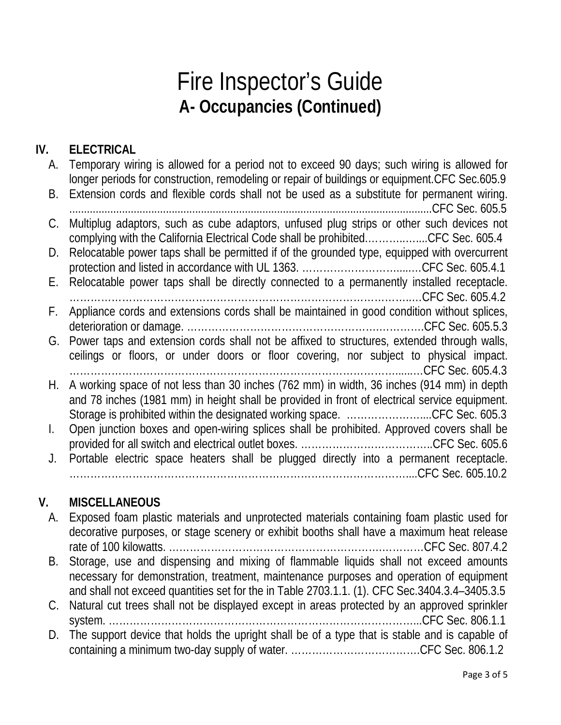## Fire Inspector's Guide **A- Occupancies (Continued)**

#### **IV. ELECTRICAL**

| А. | Temporary wiring is allowed for a period not to exceed 90 days; such wiring is allowed for<br>longer periods for construction, remodeling or repair of buildings or equipment. CFC Sec.605.9 |
|----|----------------------------------------------------------------------------------------------------------------------------------------------------------------------------------------------|
| B. | Extension cords and flexible cords shall not be used as a substitute for permanent wiring.                                                                                                   |
| C. | Multiplug adaptors, such as cube adaptors, unfused plug strips or other such devices not<br>complying with the California Electrical Code shall be prohibitedCFC Sec. 605.4                  |
| D. | Relocatable power taps shall be permitted if of the grounded type, equipped with overcurrent                                                                                                 |
| E. | Relocatable power taps shall be directly connected to a permanently installed receptacle.                                                                                                    |
| F. | Appliance cords and extensions cords shall be maintained in good condition without splices,                                                                                                  |
| G. | Power taps and extension cords shall not be affixed to structures, extended through walls,                                                                                                   |
|    | ceilings or floors, or under doors or floor covering, nor subject to physical impact.                                                                                                        |
| Н. | A working space of not less than 30 inches (762 mm) in width, 36 inches (914 mm) in depth<br>and 78 inches (1981 mm) in height shall be provided in front of electrical service equipment.   |
|    | Storage is prohibited within the designated working space. CFC Sec. 605.3                                                                                                                    |
| L. | Open junction boxes and open-wiring splices shall be prohibited. Approved covers shall be                                                                                                    |
|    |                                                                                                                                                                                              |
| J. | Portable electric space heaters shall be plugged directly into a permanent receptacle.                                                                                                       |
|    |                                                                                                                                                                                              |

#### **V. MISCELLANEOUS**

- A. Exposed foam plastic materials and unprotected materials containing foam plastic used for decorative purposes, or stage scenery or exhibit booths shall have a maximum heat release rate of 100 kilowatts. …………………………………………………….…………CFC Sec. 807.4.2 B. Storage, use and dispensing and mixing of flammable liquids shall not exceed amounts necessary for demonstration, treatment, maintenance purposes and operation of equipment and shall not exceed quantities set for the in Table 2703.1.1. (1). CFC Sec.3404.3.4–3405.3.5 C. Natural cut trees shall not be displayed except in areas protected by an approved sprinkler system. ……………………………………………………………………………...CFC Sec. 806.1.1
- D. The support device that holds the upright shall be of a type that is stable and is capable of containing a minimum two-day supply of water. ……………………………….CFC Sec. 806.1.2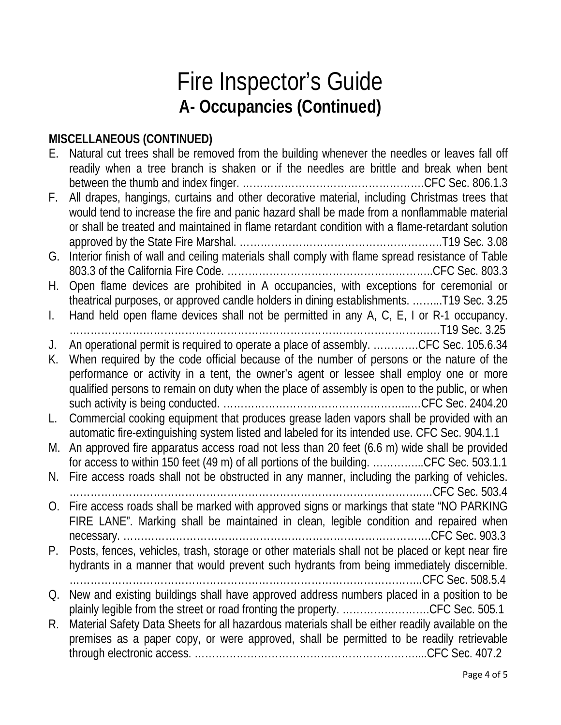## Fire Inspector's Guide **A- Occupancies (Continued)**

#### **MISCELLANEOUS (CONTINUED)**

| Е.             | Natural cut trees shall be removed from the building whenever the needles or leaves fall off<br>readily when a tree branch is shaken or if the needles are brittle and break when bent                                                                                                                                                                                      |
|----------------|-----------------------------------------------------------------------------------------------------------------------------------------------------------------------------------------------------------------------------------------------------------------------------------------------------------------------------------------------------------------------------|
| F.             | All drapes, hangings, curtains and other decorative material, including Christmas trees that<br>would tend to increase the fire and panic hazard shall be made from a nonflammable material<br>or shall be treated and maintained in flame retardant condition with a flame-retardant solution                                                                              |
| G.             | Interior finish of wall and ceiling materials shall comply with flame spread resistance of Table                                                                                                                                                                                                                                                                            |
| H.             | Open flame devices are prohibited in A occupancies, with exceptions for ceremonial or<br>theatrical purposes, or approved candle holders in dining establishments. T19 Sec. 3.25                                                                                                                                                                                            |
| $\mathbf{L}$   | Hand held open flame devices shall not be permitted in any A, C, E, I or R-1 occupancy.                                                                                                                                                                                                                                                                                     |
| J.<br>K.       | An operational permit is required to operate a place of assembly. CFC Sec. 105.6.34<br>When required by the code official because of the number of persons or the nature of the<br>performance or activity in a tent, the owner's agent or lessee shall employ one or more<br>qualified persons to remain on duty when the place of assembly is open to the public, or when |
| L.             | Commercial cooking equipment that produces grease laden vapors shall be provided with an<br>automatic fire-extinguishing system listed and labeled for its intended use. CFC Sec. 904.1.1                                                                                                                                                                                   |
| M.             | An approved fire apparatus access road not less than 20 feet (6.6 m) wide shall be provided<br>for access to within 150 feet (49 m) of all portions of the building. CFC Sec. 503.1.1                                                                                                                                                                                       |
| N.             | Fire access roads shall not be obstructed in any manner, including the parking of vehicles.                                                                                                                                                                                                                                                                                 |
| O <sub>1</sub> | Fire access roads shall be marked with approved signs or markings that state "NO PARKING<br>FIRE LANE". Marking shall be maintained in clean, legible condition and repaired when                                                                                                                                                                                           |
|                | Posts, fences, vehicles, trash, storage or other materials shall not be placed or kept near fire<br>hydrants in a manner that would prevent such hydrants from being immediately discernible.                                                                                                                                                                               |
| Q.             | New and existing buildings shall have approved address numbers placed in a position to be                                                                                                                                                                                                                                                                                   |
| R.             | plainly legible from the street or road fronting the property. CFC Sec. 505.1<br>Material Safety Data Sheets for all hazardous materials shall be either readily available on the<br>premises as a paper copy, or were approved, shall be permitted to be readily retrievable                                                                                               |